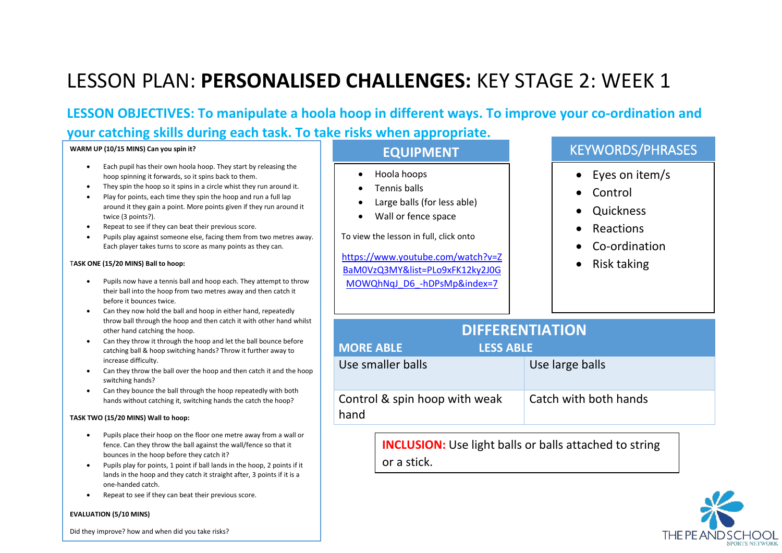**LESSON OBJECTIVES: To manipulate a hoola hoop in different ways. To improve your co-ordination and your catching skills during each task. To take risks when appropriate.** 

#### **WARM UP (10/15 MINS) Can you spin it?**

- Each pupil has their own hoola hoop. They start by releasing the hoop spinning it forwards, so it spins back to them.
- They spin the hoop so it spins in a circle whist they run around it.
- Play for points, each time they spin the hoop and run a full lap around it they gain a point. More points given if they run around it twice (3 points?).
- Repeat to see if they can beat their previous score.
- Pupils play against someone else, facing them from two metres away. Each player takes turns to score as many points as they can.

### T**ASK ONE (15/20 MINS) Ball to hoop:**

- Pupils now have a tennis ball and hoop each. They attempt to throw their ball into the hoop from two metres away and then catch it before it bounces twice.
- Can they now hold the ball and hoop in either hand, repeatedly throw ball through the hoop and then catch it with other hand whilst other hand catching the hoop.
- Can they throw it through the hoop and let the ball bounce before catching ball & hoop switching hands? Throw it further away to increase difficulty.
- Can they throw the ball over the hoop and then catch it and the hoop switching hands?
- Can they bounce the ball through the hoop repeatedly with both hands without catching it, switching hands the catch the hoop?

### **TASK TWO (15/20 MINS) Wall to hoop:**

- Pupils place their hoop on the floor one metre away from a wall or fence. Can they throw the ball against the wall/fence so that it bounces in the hoop before they catch it?
- Pupils play for points, 1 point if ball lands in the hoop, 2 points if it lands in the hoop and they catch it straight after, 3 points if it is a one-handed catch.
- Repeat to see if they can beat their previous score.

#### **EVALUATION (5/10 MINS)**

- Hoola hoops
- Tennis balls
- Large balls (for less able)
- Wall or fence space

To view the lesson in full, click onto

[https://www.youtube.com/watch?v=Z](https://www.youtube.com/watch?v=ZBaM0VzQ3MY&list=PLo9xFK12ky2J0GMOWQhNqJ_D6_-hDPsMp&index=7) [BaM0VzQ3MY&list=PLo9xFK12ky2J0G](https://www.youtube.com/watch?v=ZBaM0VzQ3MY&list=PLo9xFK12ky2J0GMOWQhNqJ_D6_-hDPsMp&index=7) [MOWQhNqJ\\_D6\\_-hDPsMp&index=7](https://www.youtube.com/watch?v=ZBaM0VzQ3MY&list=PLo9xFK12ky2J0GMOWQhNqJ_D6_-hDPsMp&index=7)

### **EQUIPMENT KEYWORDS/PHRASES**

- Eyes on item/s
- Control
- **Ouickness**
- **Reactions**
- Co-ordination
- Risk taking

| <b>DIFFERENTIATION</b>                |                       |  |
|---------------------------------------|-----------------------|--|
| <b>MORE ABLE</b><br><b>LESS ABLE</b>  |                       |  |
| Use smaller balls                     | Use large balls       |  |
| Control & spin hoop with weak<br>hand | Catch with both hands |  |

**INCLUSION:** Use light balls or balls attached to string or a stick.



Did they improve? how and when did you take risks?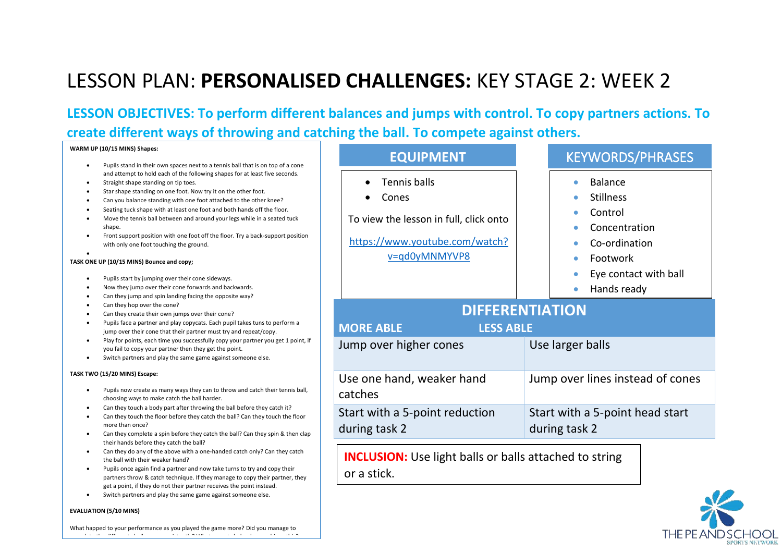**LESSON OBJECTIVES: To perform different balances and jumps with control. To copy partners actions. To create different ways of throwing and catching the ball. To compete against others.** 

|  | WARM UP (10/15 MINS) Shapes: |  |
|--|------------------------------|--|
|--|------------------------------|--|

- Pupils stand in their own spaces next to a tennis ball that is on top of a cone and attempt to hold each of the following shapes for at least five seconds.
- Straight shape standing on tip toes.
- Star shape standing on one foot. Now try it on the other foot.
- Can you balance standing with one foot attached to the other knee?
- Seating tuck shape with at least one foot and both hands off the floor.
- Move the tennis ball between and around your legs while in a seated tuck shape.
- Front support position with one foot off the floor. Try a back-support position with only one foot touching the ground.

#### **TASK ONE UP (10/15 MINS) Bounce and copy;**

•

- Pupils start by jumping over their cone sideways.
- Now they jump over their cone forwards and backwards.
- Can they jump and spin landing facing the opposite way?
- Can they hop over the cone?
- Can they create their own jumps over their cone?
- Pupils face a partner and play copycats. Each pupil takes tuns to perform a jump over their cone that their partner must try and repeat/copy.
- Play for points, each time you successfully copy your partner you get 1 point, if you fail to copy your partner then they get the point.
- Switch partners and play the same game against someone else.

#### **TASK TWO (15/20 MINS) Escape:**

- Pupils now create as many ways they can to throw and catch their tennis ball, choosing ways to make catch the ball harder.
- Can they touch a body part after throwing the ball before they catch it?
- Can they touch the floor before they catch the ball? Can they touch the floor more than once?
- Can they complete a spin before they catch the ball? Can they spin & then clap their hands before they catch the ball?
- Can they do any of the above with a one-handed catch only? Can they catch the ball with their weaker hand?
- Pupils once again find a partner and now take turns to try and copy their partners throw & catch technique. If they manage to copy their partner, they get a point, if they do not their partner receives the point instead.
- Switch partners and play the same game against someone else.

#### **EVALUATION (5/10 MINS)**

| <b>EQUIPMENT</b>                                                                                                          | <b>KEYWORDS/PHRASES</b>                                                                                                             |  |  |
|---------------------------------------------------------------------------------------------------------------------------|-------------------------------------------------------------------------------------------------------------------------------------|--|--|
| <b>Tennis balls</b><br>Cones<br>To view the lesson in full, click onto<br>https://www.youtube.com/watch?<br>v=qd0yMNMYVP8 | <b>Balance</b><br><b>Stillness</b><br>Control<br>Concentration<br>Co-ordination<br>Footwork<br>Eye contact with ball<br>Hands ready |  |  |
| <b>DIFFERENTIATION</b><br><b>MORE ABLE</b><br><b>LESS ABLE</b>                                                            |                                                                                                                                     |  |  |
| Jump over higher cones                                                                                                    | Use larger balls                                                                                                                    |  |  |
| Use one hand, weaker hand<br>catches                                                                                      | Jump over lines instead of cones                                                                                                    |  |  |
| Start with a 5-point reduction<br>during task 2                                                                           | Start with a 5-point head start<br>during task 2                                                                                    |  |  |

**INCLUSION:** Use light balls or balls attached to string or a stick.

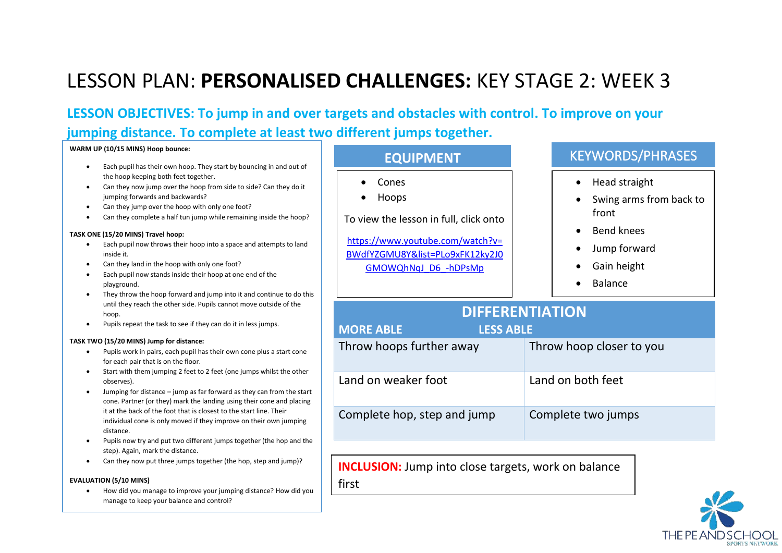**LESSON OBJECTIVES: To jump in and over targets and obstacles with control. To improve on your jumping distance. To complete at least two different jumps together.** 

#### **WARM UP (10/15 MINS) Hoop bounce:**

- Each pupil has their own hoop. They start by bouncing in and out of the hoop keeping both feet together.
- Can they now jump over the hoop from side to side? Can they do it jumping forwards and backwards?
- Can they jump over the hoop with only one foot?
- Can they complete a half tun jump while remaining inside the hoop?

#### **TASK ONE (15/20 MINS) Travel hoop:**

- Each pupil now throws their hoop into a space and attempts to land inside it.
- Can they land in the hoop with only one foot?
- Each pupil now stands inside their hoop at one end of the playground.
- They throw the hoop forward and jump into it and continue to do this until they reach the other side. Pupils cannot move outside of the hoop.
- Pupils repeat the task to see if they can do it in less jumps.

### **TASK TWO (15/20 MINS) Jump for distance:**

- Pupils work in pairs, each pupil has their own cone plus a start cone for each pair that is on the floor.
- Start with them jumping 2 feet to 2 feet (one jumps whilst the other observes).
- Jumping for distance jump as far forward as they can from the start cone. Partner (or they) mark the landing using their cone and placing it at the back of the foot that is closest to the start line. Their individual cone is only moved if they improve on their own jumping distance.
- Pupils now try and put two different jumps together (the hop and the step). Again, mark the distance.
- Can they now put three jumps together (the hop, step and jump)?

### **EVALUATION (5/10 MINS)**

• How did you manage to improve your jumping distance? How did you manage to keep your balance and control?

| <b>EQUIPMENT</b>                                                                                                                                        | <b>KEYWORDS/PHRASES</b>                                                                                                                           |  |
|---------------------------------------------------------------------------------------------------------------------------------------------------------|---------------------------------------------------------------------------------------------------------------------------------------------------|--|
| Cones<br>Hoops<br>To view the lesson in full, click onto<br>https://www.youtube.com/watch?v=<br>BWdfYZGMU8Y&list=PLo9xFK12ky2J0<br>GMOWQhNqJ D6 -hDPsMp | Head straight<br>$\bullet$<br>Swing arms from back to<br>front<br><b>Bend knees</b><br>Jump forward<br>$\bullet$<br>Gain height<br><b>Balance</b> |  |
|                                                                                                                                                         |                                                                                                                                                   |  |
| <b>DIFFERENTIATION</b>                                                                                                                                  |                                                                                                                                                   |  |
| <b>MORE ABLE</b><br><b>LESS ABLE</b>                                                                                                                    |                                                                                                                                                   |  |
| Throw hoops further away                                                                                                                                | Throw hoop closer to you                                                                                                                          |  |
| Land on weaker foot                                                                                                                                     | Land on both feet                                                                                                                                 |  |
| Complete hop, step and jump                                                                                                                             | Complete two jumps                                                                                                                                |  |

**INCLUSION:** Jump into close targets, work on balance

first

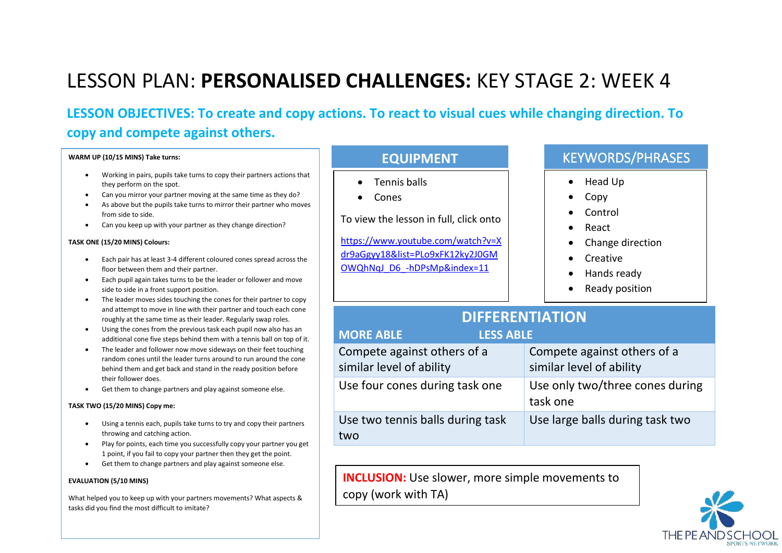**LESSON OBJECTIVES: To create and copy actions. To react to visual cues while changing direction. To copy and compete against others.**

| WARM UP (10/15 MINS) Take turns:                                                                                                                                                                                                                                                                                                                                                                                                                                                                                                                                                                                                                                                                                                                                                                                                                                                                                                                                            | <b>EQUIPMENT</b>                                                                                                                                                        | <b>KEYWORDS/PHRASES</b>                                                                                                                                                            |
|-----------------------------------------------------------------------------------------------------------------------------------------------------------------------------------------------------------------------------------------------------------------------------------------------------------------------------------------------------------------------------------------------------------------------------------------------------------------------------------------------------------------------------------------------------------------------------------------------------------------------------------------------------------------------------------------------------------------------------------------------------------------------------------------------------------------------------------------------------------------------------------------------------------------------------------------------------------------------------|-------------------------------------------------------------------------------------------------------------------------------------------------------------------------|------------------------------------------------------------------------------------------------------------------------------------------------------------------------------------|
| Working in pairs, pupils take turns to copy their partners actions that<br>they perform on the spot.<br>Can you mirror your partner moving at the same time as they do?<br>As above but the pupils take turns to mirror their partner who moves<br>from side to side.<br>Can you keep up with your partner as they change direction?<br>TASK ONE (15/20 MINS) Colours:<br>Each pair has at least 3-4 different coloured cones spread across the<br>floor between them and their partner.<br>Each pupil again takes turns to be the leader or follower and move<br>side to side in a front support position.<br>The leader moves sides touching the cones for their partner to copy<br>and attempt to move in line with their partner and touch each cone<br>roughly at the same time as their leader. Regularly swap roles.<br>Using the cones from the previous task each pupil now also has an<br>additional cone five steps behind them with a tennis ball on top of it. | Tennis balls<br>Cones<br>To view the lesson in full, click onto<br>https://www.youtube.com/watch?v=X<br>dr9aGgyy18&list=PLo9xFK12ky2J0GM<br>OWQhNqJ D6 -hDPsMp&index=11 | Head Up<br>$\bullet$<br>Copy<br>Control<br>React<br>$\bullet$<br>Change direction<br>$\bullet$<br>Creative<br>$\bullet$<br>Hands ready<br>$\bullet$<br>Ready position<br>$\bullet$ |
|                                                                                                                                                                                                                                                                                                                                                                                                                                                                                                                                                                                                                                                                                                                                                                                                                                                                                                                                                                             | <b>DIFFERENTIATION</b><br><b>MORE ABLE</b><br><b>LESS ABLE</b>                                                                                                          |                                                                                                                                                                                    |
| The leader and follower now move sideways on their feet touching<br>random cones until the leader turns around to run around the cone<br>behind them and get back and stand in the ready position before                                                                                                                                                                                                                                                                                                                                                                                                                                                                                                                                                                                                                                                                                                                                                                    | Compete against others of a<br>similar level of ability                                                                                                                 | Compete against others of a<br>similar level of ability                                                                                                                            |
| their follower does.<br>Get them to change partners and play against someone else.<br>TASK TWO (15/20 MINS) Copy me:                                                                                                                                                                                                                                                                                                                                                                                                                                                                                                                                                                                                                                                                                                                                                                                                                                                        | Use four cones during task one                                                                                                                                          | Use only two/three cones during<br>task one                                                                                                                                        |
| Using a tennis each, pupils take turns to try and copy their partners<br>throwing and catching action.                                                                                                                                                                                                                                                                                                                                                                                                                                                                                                                                                                                                                                                                                                                                                                                                                                                                      | Use two tennis balls during task<br>two                                                                                                                                 | Use large balls during task two                                                                                                                                                    |

1 point, if you fail to copy your partner then they get the point. • Get them to change partners and play against someone else.

What helped you to keep up with your partners movements? What aspects &

**EVALUATION (5/10 MINS)** 

tasks did you find the most difficult to imitate?

**INCLUSION:** Use slower, more simple movements to copy (work with TA)

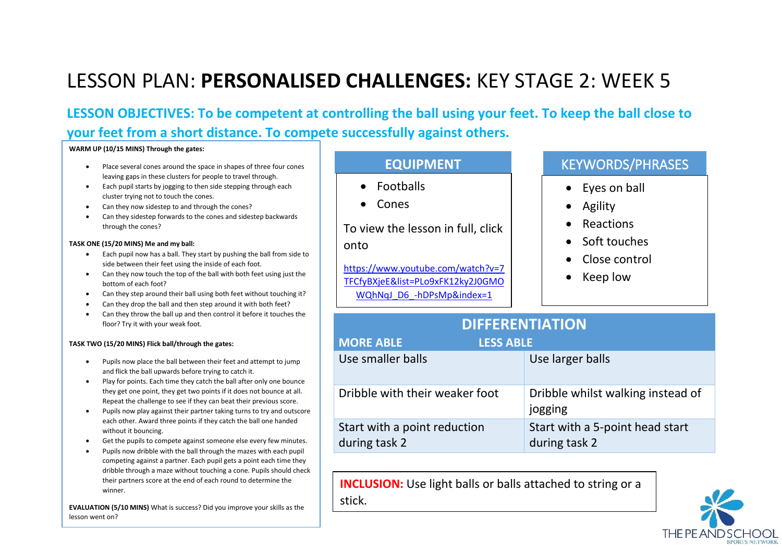**LESSON OBJECTIVES: To be competent at controlling the ball using your feet. To keep the ball close to your feet from a short distance. To compete successfully against others.** 

#### **WARM UP (10/15 MINS) Through the gates:**

- Place several cones around the space in shapes of three four cones leaving gaps in these clusters for people to travel through.
- Each pupil starts by jogging to then side stepping through each cluster trying not to touch the cones.
- Can they now sidestep to and through the cones?
- Can they sidestep forwards to the cones and sidestep backwards through the cones?

#### **TASK ONE (15/20 MINS) Me and my ball:**

- Each pupil now has a ball. They start by pushing the ball from side to side between their feet using the inside of each foot.
- Can they now touch the top of the ball with both feet using just the bottom of each foot?
- Can they step around their ball using both feet without touching it?
- Can they drop the ball and then step around it with both feet?
- Can they throw the ball up and then control it before it touches the floor? Try it with your weak foot.

### **TASK TWO (15/20 MINS) Flick ball/through the gates:**

- Pupils now place the ball between their feet and attempt to jump and flick the ball upwards before trying to catch it.
- Play for points. Each time they catch the ball after only one bounce they get one point, they get two points if it does not bounce at all. Repeat the challenge to see if they can beat their previous score.
- Pupils now play against their partner taking turns to try and outscore each other. Award three points if they catch the ball one handed without it bouncing.
- Get the pupils to compete against someone else every few minutes.
- Pupils now dribble with the ball through the mazes with each pupil competing against a partner. Each pupil gets a point each time they dribble through a maze without touching a cone. Pupils should check their partners score at the end of each round to determine the winner.

**EVALUATION (5/10 MINS)** What is success? Did you improve your skills as the lesson went on?

- Footballs
- Cones

To view the lesson in full, click onto

[https://www.youtube.com/watch?v=7](https://www.youtube.com/watch?v=7TFCfyBXjeE&list=PLo9xFK12ky2J0GMOWQhNqJ_D6_-hDPsMp&index=1) [TFCfyBXjeE&list=PLo9xFK12ky2J0GMO](https://www.youtube.com/watch?v=7TFCfyBXjeE&list=PLo9xFK12ky2J0GMOWQhNqJ_D6_-hDPsMp&index=1) [WQhNqJ\\_D6\\_-hDPsMp&index=1](https://www.youtube.com/watch?v=7TFCfyBXjeE&list=PLo9xFK12ky2J0GMOWQhNqJ_D6_-hDPsMp&index=1)

### **EQUIPMENT KEYWORDS/PHRASES**

- Eyes on ball
- Agility
- **Reactions**
- Soft touches
- Close control
- Keep low

| <b>DIFFERENTIATION</b>                        |                                                  |  |
|-----------------------------------------------|--------------------------------------------------|--|
| <b>MORE ABLE</b><br><b>LESS ABLE</b>          |                                                  |  |
| Use smaller balls                             | Use larger balls                                 |  |
| Dribble with their weaker foot                | Dribble whilst walking instead of<br>jogging     |  |
| Start with a point reduction<br>during task 2 | Start with a 5-point head start<br>during task 2 |  |

**INCLUSION:** Use light balls or balls attached to string or a stick.